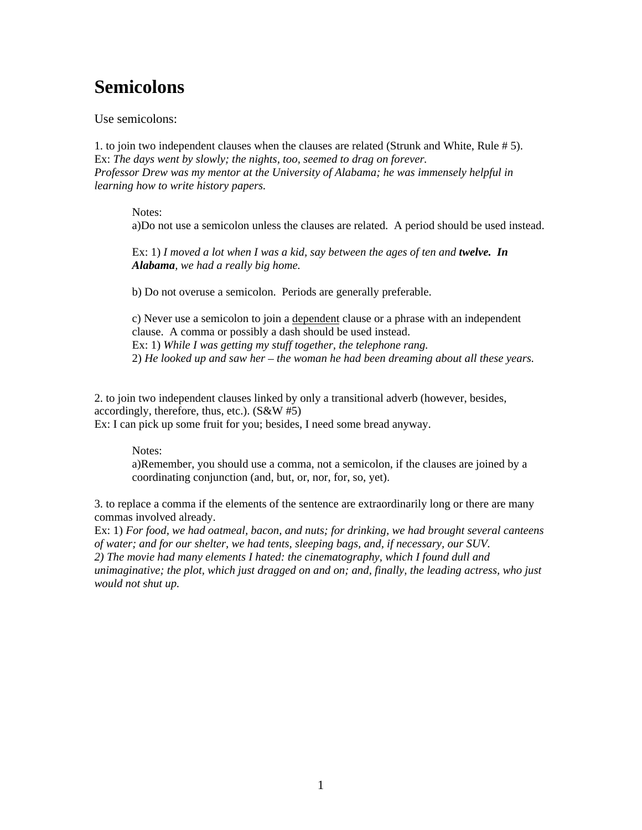# **Semicolons**

Use semicolons:

1. to join two independent clauses when the clauses are related (Strunk and White, Rule # 5). Ex: *The days went by slowly; the nights, too, seemed to drag on forever. Professor Drew was my mentor at the University of Alabama; he was immensely helpful in learning how to write history papers.*

Notes:

a)Do not use a semicolon unless the clauses are related. A period should be used instead.

Ex: 1) *I moved a lot when I was a kid, say between the ages of ten and twelve. In Alabama, we had a really big home.*

b) Do not overuse a semicolon. Periods are generally preferable.

c) Never use a semicolon to join a dependent clause or a phrase with an independent clause. A comma or possibly a dash should be used instead. Ex: 1) *While I was getting my stuff together, the telephone rang.* 2) *He looked up and saw her – the woman he had been dreaming about all these years.* 

2. to join two independent clauses linked by only a transitional adverb (however, besides, accordingly, therefore, thus, etc.). (S&W #5) Ex: I can pick up some fruit for you; besides, I need some bread anyway.

Notes:

a)Remember, you should use a comma, not a semicolon, if the clauses are joined by a coordinating conjunction (and, but, or, nor, for, so, yet).

3. to replace a comma if the elements of the sentence are extraordinarily long or there are many commas involved already.

Ex: 1) *For food, we had oatmeal, bacon, and nuts; for drinking, we had brought several canteens of water; and for our shelter, we had tents, sleeping bags, and, if necessary, our SUV. 2) The movie had many elements I hated: the cinematography, which I found dull and* 

*unimaginative; the plot, which just dragged on and on; and, finally, the leading actress, who just would not shut up.*